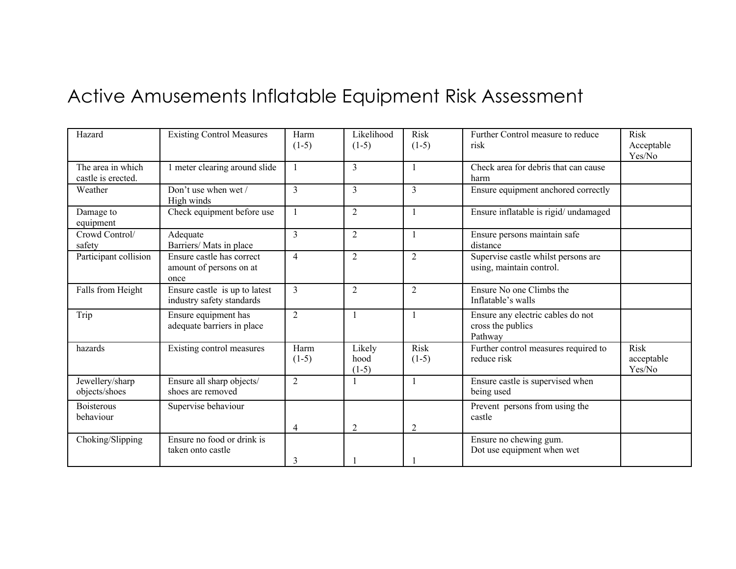## Active Amusements Inflatable Equipment Risk Assessment

| Hazard                                  | <b>Existing Control Measures</b>                             | Harm<br>$(1-5)$ | Likelihood<br>$(1-5)$     | <b>Risk</b><br>$(1-5)$ | Further Control measure to reduce<br>risk                         | <b>Risk</b><br>Acceptable<br>Yes/No |
|-----------------------------------------|--------------------------------------------------------------|-----------------|---------------------------|------------------------|-------------------------------------------------------------------|-------------------------------------|
| The area in which<br>castle is erected. | 1 meter clearing around slide                                | 1               | 3                         |                        | Check area for debris that can cause<br>harm                      |                                     |
| Weather                                 | Don't use when wet /<br>High winds                           | 3               | 3                         | 3                      | Ensure equipment anchored correctly                               |                                     |
| Damage to<br>equipment                  | Check equipment before use                                   |                 | $\overline{2}$            |                        | Ensure inflatable is rigid/ undamaged                             |                                     |
| Crowd Control/<br>safety                | Adequate<br>Barriers/ Mats in place                          | 3               | $\overline{2}$            |                        | Ensure persons maintain safe<br>distance                          |                                     |
| Participant collision                   | Ensure castle has correct<br>amount of persons on at<br>once | 4               | $\overline{2}$            | 2                      | Supervise castle whilst persons are<br>using, maintain control.   |                                     |
| Falls from Height                       | Ensure castle is up to latest<br>industry safety standards   | 3               | $\overline{2}$            | 2                      | Ensure No one Climbs the<br>Inflatable's walls                    |                                     |
| Trip                                    | Ensure equipment has<br>adequate barriers in place           | $\overline{2}$  |                           |                        | Ensure any electric cables do not<br>cross the publics<br>Pathway |                                     |
| hazards                                 | Existing control measures                                    | Harm<br>$(1-5)$ | Likely<br>hood<br>$(1-5)$ | <b>Risk</b><br>$(1-5)$ | Further control measures required to<br>reduce risk               | <b>Risk</b><br>acceptable<br>Yes/No |
| Jewellery/sharp<br>objects/shoes        | Ensure all sharp objects/<br>shoes are removed               | $\overline{2}$  |                           |                        | Ensure castle is supervised when<br>being used                    |                                     |
| <b>Boisterous</b><br>behaviour          | Supervise behaviour                                          |                 |                           |                        | Prevent persons from using the<br>castle                          |                                     |
| Choking/Slipping                        | Ensure no food or drink is<br>taken onto castle              | 4<br>3          | $\overline{2}$            | $\overline{2}$         | Ensure no chewing gum.<br>Dot use equipment when wet              |                                     |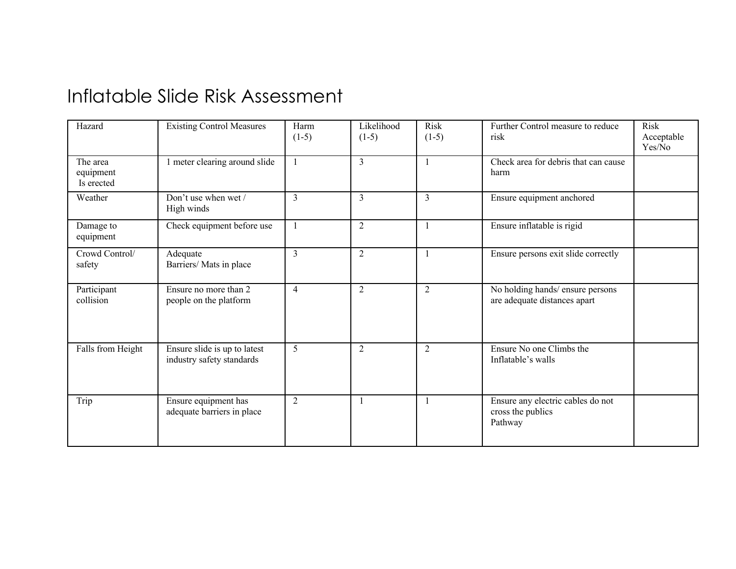## Inflatable Slide Risk Assessment

| Hazard                              | <b>Existing Control Measures</b>                          | Harm<br>$(1-5)$ | Likelihood<br>$(1-5)$ | Risk<br>$(1-5)$ | Further Control measure to reduce<br>risk                         | <b>Risk</b><br>Acceptable<br>Yes/No |
|-------------------------------------|-----------------------------------------------------------|-----------------|-----------------------|-----------------|-------------------------------------------------------------------|-------------------------------------|
| The area<br>equipment<br>Is erected | 1 meter clearing around slide                             | $\mathbf{1}$    | $\overline{3}$        |                 | Check area for debris that can cause<br>harm                      |                                     |
| Weather                             | Don't use when wet /<br>High winds                        | $\overline{3}$  | $\overline{3}$        | 3               | Ensure equipment anchored                                         |                                     |
| Damage to<br>equipment              | Check equipment before use                                |                 | 2                     |                 | Ensure inflatable is rigid                                        |                                     |
| Crowd Control/<br>safety            | Adequate<br>Barriers/ Mats in place                       | $\mathcal{E}$   | $\overline{2}$        |                 | Ensure persons exit slide correctly                               |                                     |
| Participant<br>collision            | Ensure no more than 2<br>people on the platform           | $\overline{4}$  | $\overline{2}$        | $\overline{2}$  | No holding hands/ensure persons<br>are adequate distances apart   |                                     |
| Falls from Height                   | Ensure slide is up to latest<br>industry safety standards | 5               | $\overline{2}$        | $\overline{2}$  | Ensure No one Climbs the<br>Inflatable's walls                    |                                     |
| Trip                                | Ensure equipment has<br>adequate barriers in place        | $\overline{2}$  |                       |                 | Ensure any electric cables do not<br>cross the publics<br>Pathway |                                     |